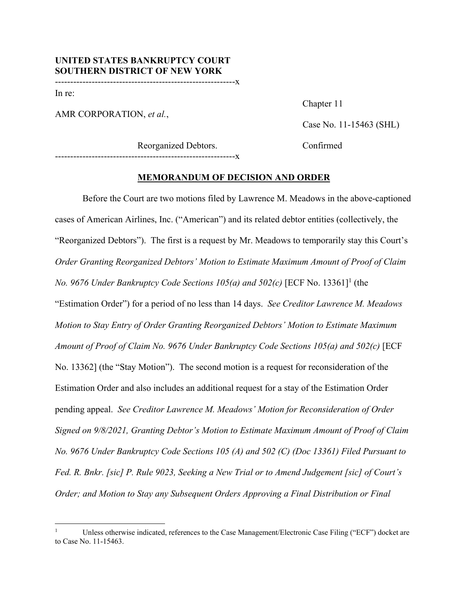-----------------------------------------------------------x

In re:

AMR CORPORATION, *et al.*,

Chapter 11

Case No. 11-15463 (SHL)

Reorganized Debtors. Confirmed -----------------------------------------------------------x

**MEMORANDUM OF DECISION AND ORDER** 

Before the Court are two motions filed by Lawrence M. Meadows in the above-captioned cases of American Airlines, Inc. ("American") and its related debtor entities (collectively, the "Reorganized Debtors"). The first is a request by Mr. Meadows to temporarily stay this Court's *Order Granting Reorganized Debtors' Motion to Estimate Maximum Amount of Proof of Claim No.* 9676 Under Bankruptcy Code Sections 105(a) and 502(c) [ECF No. 13361]<sup>1</sup> (the "Estimation Order") for a period of no less than 14 days. *See Creditor Lawrence M. Meadows Motion to Stay Entry of Order Granting Reorganized Debtors' Motion to Estimate Maximum Amount of Proof of Claim No. 9676 Under Bankruptcy Code Sections 105(a) and 502(c)* [ECF No. 13362] (the "Stay Motion"). The second motion is a request for reconsideration of the Estimation Order and also includes an additional request for a stay of the Estimation Order pending appeal. *See Creditor Lawrence M. Meadows' Motion for Reconsideration of Order Signed on 9/8/2021, Granting Debtor's Motion to Estimate Maximum Amount of Proof of Claim No. 9676 Under Bankruptcy Code Sections 105 (A) and 502 (C) (Doc 13361) Filed Pursuant to Fed. R. Bnkr. [sic] P. Rule 9023, Seeking a New Trial or to Amend Judgement [sic] of Court's Order; and Motion to Stay any Subsequent Orders Approving a Final Distribution or Final* 

<sup>1</sup> Unless otherwise indicated, references to the Case Management/Electronic Case Filing ("ECF") docket are to Case No. 11-15463.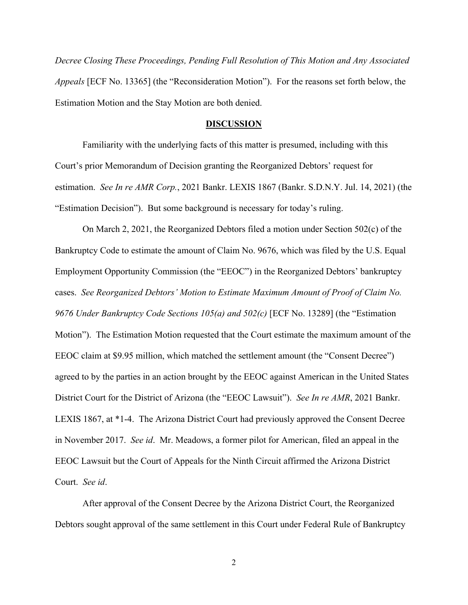*Decree Closing These Proceedings, Pending Full Resolution of This Motion and Any Associated Appeals* [ECF No. 13365] (the "Reconsideration Motion"). For the reasons set forth below, the Estimation Motion and the Stay Motion are both denied.

#### **DISCUSSION**

 Familiarity with the underlying facts of this matter is presumed, including with this Court's prior Memorandum of Decision granting the Reorganized Debtors' request for estimation. *See In re AMR Corp.*, 2021 Bankr. LEXIS 1867 (Bankr. S.D.N.Y. Jul. 14, 2021) (the "Estimation Decision"). But some background is necessary for today's ruling.

On March 2, 2021, the Reorganized Debtors filed a motion under Section 502(c) of the Bankruptcy Code to estimate the amount of Claim No. 9676, which was filed by the U.S. Equal Employment Opportunity Commission (the "EEOC") in the Reorganized Debtors' bankruptcy cases. *See Reorganized Debtors' Motion to Estimate Maximum Amount of Proof of Claim No. 9676 Under Bankruptcy Code Sections 105(a) and 502(c)* [ECF No. 13289] (the "Estimation Motion"). The Estimation Motion requested that the Court estimate the maximum amount of the EEOC claim at \$9.95 million, which matched the settlement amount (the "Consent Decree") agreed to by the parties in an action brought by the EEOC against American in the United States District Court for the District of Arizona (the "EEOC Lawsuit"). *See In re AMR*, 2021 Bankr. LEXIS 1867, at \*1-4. The Arizona District Court had previously approved the Consent Decree in November 2017. *See id*. Mr. Meadows, a former pilot for American, filed an appeal in the EEOC Lawsuit but the Court of Appeals for the Ninth Circuit affirmed the Arizona District Court. *See id*.

After approval of the Consent Decree by the Arizona District Court, the Reorganized Debtors sought approval of the same settlement in this Court under Federal Rule of Bankruptcy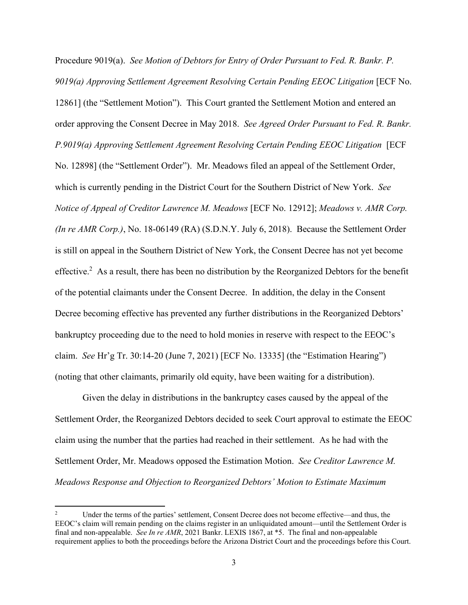Procedure 9019(a). *See Motion of Debtors for Entry of Order Pursuant to Fed. R. Bankr. P. 9019(a) Approving Settlement Agreement Resolving Certain Pending EEOC Litigation* [ECF No. 12861] (the "Settlement Motion"). This Court granted the Settlement Motion and entered an order approving the Consent Decree in May 2018. *See Agreed Order Pursuant to Fed. R. Bankr. P.9019(a) Approving Settlement Agreement Resolving Certain Pending EEOC Litigation* [ECF No. 12898] (the "Settlement Order"). Mr. Meadows filed an appeal of the Settlement Order, which is currently pending in the District Court for the Southern District of New York. *See Notice of Appeal of Creditor Lawrence M. Meadows* [ECF No. 12912]; *Meadows v. AMR Corp. (In re AMR Corp.)*, No. 18-06149 (RA) (S.D.N.Y. July 6, 2018). Because the Settlement Order is still on appeal in the Southern District of New York, the Consent Decree has not yet become effective.<sup>2</sup> As a result, there has been no distribution by the Reorganized Debtors for the benefit of the potential claimants under the Consent Decree. In addition, the delay in the Consent Decree becoming effective has prevented any further distributions in the Reorganized Debtors' bankruptcy proceeding due to the need to hold monies in reserve with respect to the EEOC's claim. *See* Hr'g Tr. 30:14-20 (June 7, 2021) [ECF No. 13335] (the "Estimation Hearing") (noting that other claimants, primarily old equity, have been waiting for a distribution).

Given the delay in distributions in the bankruptcy cases caused by the appeal of the Settlement Order, the Reorganized Debtors decided to seek Court approval to estimate the EEOC claim using the number that the parties had reached in their settlement. As he had with the Settlement Order, Mr. Meadows opposed the Estimation Motion. *See Creditor Lawrence M. Meadows Response and Objection to Reorganized Debtors' Motion to Estimate Maximum* 

<sup>2</sup> Under the terms of the parties' settlement, Consent Decree does not become effective—and thus, the EEOC's claim will remain pending on the claims register in an unliquidated amount—until the Settlement Order is final and non-appealable. *See In re AMR*, 2021 Bankr. LEXIS 1867, at \*5. The final and non-appealable requirement applies to both the proceedings before the Arizona District Court and the proceedings before this Court.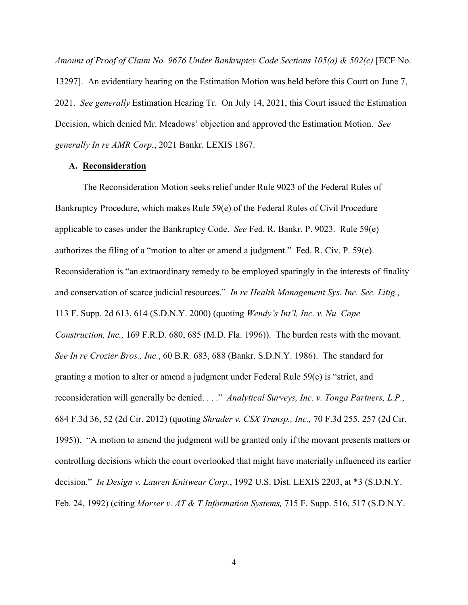*Amount of Proof of Claim No. 9676 Under Bankruptcy Code Sections 105(a) & 502(c)* [ECF No. 13297]. An evidentiary hearing on the Estimation Motion was held before this Court on June 7, 2021. *See generally* Estimation Hearing Tr. On July 14, 2021, this Court issued the Estimation Decision, which denied Mr. Meadows' objection and approved the Estimation Motion. *See generally In re AMR Corp.*, 2021 Bankr. LEXIS 1867.

## **A. Reconsideration**

The Reconsideration Motion seeks relief under Rule 9023 of the Federal Rules of Bankruptcy Procedure, which makes Rule 59(e) of the Federal Rules of Civil Procedure applicable to cases under the Bankruptcy Code. *See* Fed. R. Bankr. P. 9023. Rule 59(e) authorizes the filing of a "motion to alter or amend a judgment." Fed. R. Civ. P. 59(e). Reconsideration is "an extraordinary remedy to be employed sparingly in the interests of finality and conservation of scarce judicial resources." *In re Health Management Sys. Inc. Sec. Litig.,* 113 F. Supp. 2d 613, 614 (S.D.N.Y. 2000) (quoting *Wendy's Int'l, Inc. v. Nu–Cape Construction, Inc.,* 169 F.R.D. 680, 685 (M.D. Fla. 1996)). The burden rests with the movant. *See In re Crozier Bros., Inc.*, 60 B.R. 683, 688 (Bankr. S.D.N.Y. 1986). The standard for granting a motion to alter or amend a judgment under Federal Rule 59(e) is "strict, and reconsideration will generally be denied. . . ." *Analytical Surveys, Inc. v. Tonga Partners, L.P.,* 684 F.3d 36, 52 (2d Cir. 2012) (quoting *Shrader v. CSX Transp., Inc.,* 70 F.3d 255, 257 (2d Cir. 1995)). "A motion to amend the judgment will be granted only if the movant presents matters or controlling decisions which the court overlooked that might have materially influenced its earlier decision." *In Design v. Lauren Knitwear Corp.*, 1992 U.S. Dist. LEXIS 2203, at \*3 (S.D.N.Y. Feb. 24, 1992) (citing *Morser v. AT & T Information Systems,* 715 F. Supp. 516, 517 (S.D.N.Y.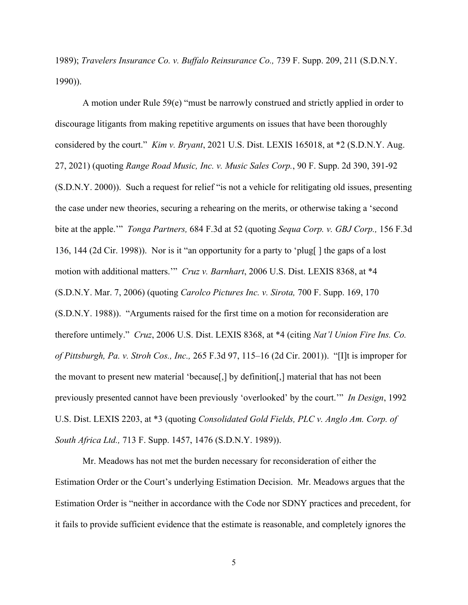1989); *Travelers Insurance Co. v. Buffalo Reinsurance Co.,* 739 F. Supp. 209, 211 (S.D.N.Y. 1990)).

A motion under Rule 59(e) "must be narrowly construed and strictly applied in order to discourage litigants from making repetitive arguments on issues that have been thoroughly considered by the court." *Kim v. Bryant*, 2021 U.S. Dist. LEXIS 165018, at \*2 (S.D.N.Y. Aug. 27, 2021) (quoting *Range Road Music, Inc. v. Music Sales Corp.*, 90 F. Supp. 2d 390, 391-92 (S.D.N.Y. 2000)). Such a request for relief "is not a vehicle for relitigating old issues, presenting the case under new theories, securing a rehearing on the merits, or otherwise taking a 'second bite at the apple.'" *Tonga Partners,* 684 F.3d at 52 (quoting *Sequa Corp. v. GBJ Corp.,* 156 F.3d 136, 144 (2d Cir. 1998)). Nor is it "an opportunity for a party to 'plug[ ] the gaps of a lost motion with additional matters.'" *Cruz v. Barnhart*, 2006 U.S. Dist. LEXIS 8368, at \*4 (S.D.N.Y. Mar. 7, 2006) (quoting *Carolco Pictures Inc. v. Sirota,* 700 F. Supp. 169, 170 (S.D.N.Y. 1988)). "Arguments raised for the first time on a motion for reconsideration are therefore untimely." *Cruz*, 2006 U.S. Dist. LEXIS 8368, at \*4 (citing *Nat'l Union Fire Ins. Co. of Pittsburgh, Pa. v. Stroh Cos., Inc.,* 265 F.3d 97, 115–16 (2d Cir. 2001)). "[I]t is improper for the movant to present new material 'because[,] by definition[,] material that has not been previously presented cannot have been previously 'overlooked' by the court.'" *In Design*, 1992 U.S. Dist. LEXIS 2203, at \*3 (quoting *Consolidated Gold Fields, PLC v. Anglo Am. Corp. of South Africa Ltd.,* 713 F. Supp. 1457, 1476 (S.D.N.Y. 1989)).

Mr. Meadows has not met the burden necessary for reconsideration of either the Estimation Order or the Court's underlying Estimation Decision. Mr. Meadows argues that the Estimation Order is "neither in accordance with the Code nor SDNY practices and precedent, for it fails to provide sufficient evidence that the estimate is reasonable, and completely ignores the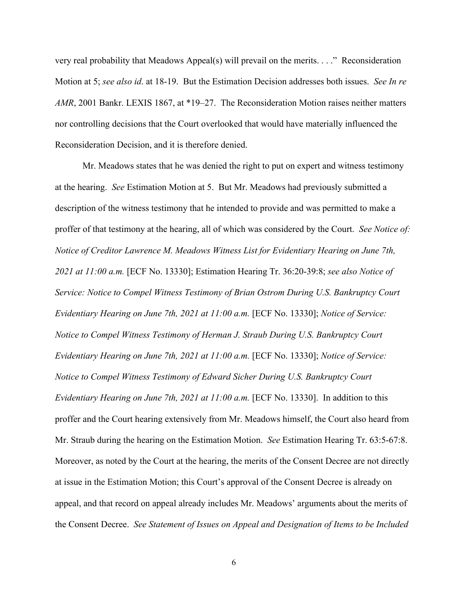very real probability that Meadows Appeal(s) will prevail on the merits. . . ." Reconsideration Motion at 5; *see also id*. at 18-19. But the Estimation Decision addresses both issues. *See In re AMR*, 2001 Bankr. LEXIS 1867, at \*19–27. The Reconsideration Motion raises neither matters nor controlling decisions that the Court overlooked that would have materially influenced the Reconsideration Decision, and it is therefore denied.

Mr. Meadows states that he was denied the right to put on expert and witness testimony at the hearing. *See* Estimation Motion at 5. But Mr. Meadows had previously submitted a description of the witness testimony that he intended to provide and was permitted to make a proffer of that testimony at the hearing, all of which was considered by the Court. *See Notice of: Notice of Creditor Lawrence M. Meadows Witness List for Evidentiary Hearing on June 7th, 2021 at 11:00 a.m.* [ECF No. 13330]; Estimation Hearing Tr. 36:20-39:8; *see also Notice of Service: Notice to Compel Witness Testimony of Brian Ostrom During U.S. Bankruptcy Court Evidentiary Hearing on June 7th, 2021 at 11:00 a.m.* [ECF No. 13330]; *Notice of Service: Notice to Compel Witness Testimony of Herman J. Straub During U.S. Bankruptcy Court Evidentiary Hearing on June 7th, 2021 at 11:00 a.m.* [ECF No. 13330]; *Notice of Service: Notice to Compel Witness Testimony of Edward Sicher During U.S. Bankruptcy Court Evidentiary Hearing on June 7th, 2021 at 11:00 a.m.* [ECF No. 13330]. In addition to this proffer and the Court hearing extensively from Mr. Meadows himself, the Court also heard from Mr. Straub during the hearing on the Estimation Motion. *See* Estimation Hearing Tr. 63:5-67:8. Moreover, as noted by the Court at the hearing, the merits of the Consent Decree are not directly at issue in the Estimation Motion; this Court's approval of the Consent Decree is already on appeal, and that record on appeal already includes Mr. Meadows' arguments about the merits of the Consent Decree. *See Statement of Issues on Appeal and Designation of Items to be Included*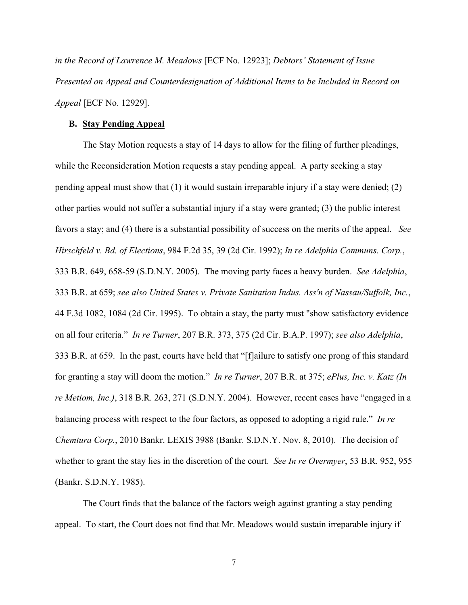*in the Record of Lawrence M. Meadows* [ECF No. 12923]; *Debtors' Statement of Issue Presented on Appeal and Counterdesignation of Additional Items to be Included in Record on Appeal* [ECF No. 12929].

#### **B. Stay Pending Appeal**

The Stay Motion requests a stay of 14 days to allow for the filing of further pleadings, while the Reconsideration Motion requests a stay pending appeal. A party seeking a stay pending appeal must show that (1) it would sustain irreparable injury if a stay were denied; (2) other parties would not suffer a substantial injury if a stay were granted; (3) the public interest favors a stay; and (4) there is a substantial possibility of success on the merits of the appeal. *See Hirschfeld v. Bd. of Elections*, 984 F.2d 35, 39 (2d Cir. 1992); *In re Adelphia Communs. Corp.*, 333 B.R. 649, 658-59 (S.D.N.Y. 2005). The moving party faces a heavy burden. *See Adelphia*, 333 B.R. at 659; *see also United States v. Private Sanitation Indus. Ass'n of Nassau/Suffolk, Inc.*, 44 F.3d 1082, 1084 (2d Cir. 1995). To obtain a stay, the party must "show satisfactory evidence on all four criteria." *In re Turner*, 207 B.R. 373, 375 (2d Cir. B.A.P. 1997); *see also Adelphia*, 333 B.R. at 659. In the past, courts have held that "[f]ailure to satisfy one prong of this standard for granting a stay will doom the motion." *In re Turner*, 207 B.R. at 375; *ePlus, Inc. v. Katz (In re Metiom, Inc.)*, 318 B.R. 263, 271 (S.D.N.Y. 2004). However, recent cases have "engaged in a balancing process with respect to the four factors, as opposed to adopting a rigid rule." *In re Chemtura Corp.*, 2010 Bankr. LEXIS 3988 (Bankr. S.D.N.Y. Nov. 8, 2010). The decision of whether to grant the stay lies in the discretion of the court. *See In re Overmyer*, 53 B.R. 952, 955 (Bankr. S.D.N.Y. 1985).

The Court finds that the balance of the factors weigh against granting a stay pending appeal. To start, the Court does not find that Mr. Meadows would sustain irreparable injury if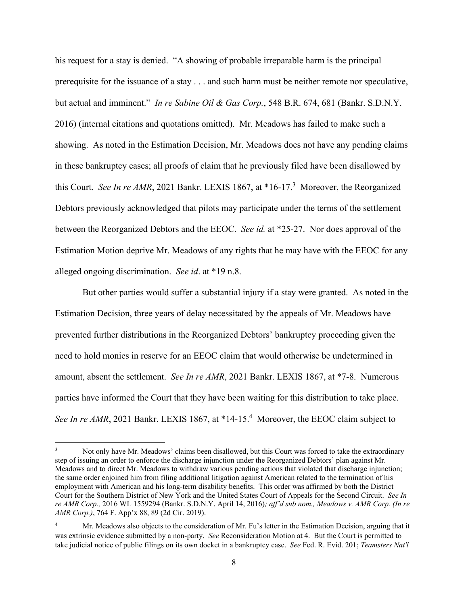his request for a stay is denied. "A showing of probable irreparable harm is the principal prerequisite for the issuance of a stay . . . and such harm must be neither remote nor speculative, but actual and imminent." *In re Sabine Oil & Gas Corp.*, 548 B.R. 674, 681 (Bankr. S.D.N.Y. 2016) (internal citations and quotations omitted). Mr. Meadows has failed to make such a showing. As noted in the Estimation Decision, Mr. Meadows does not have any pending claims in these bankruptcy cases; all proofs of claim that he previously filed have been disallowed by this Court. See In re AMR, 2021 Bankr. LEXIS 1867, at \*16-17.<sup>3</sup> Moreover, the Reorganized Debtors previously acknowledged that pilots may participate under the terms of the settlement between the Reorganized Debtors and the EEOC. *See id.* at \*25-27. Nor does approval of the Estimation Motion deprive Mr. Meadows of any rights that he may have with the EEOC for any alleged ongoing discrimination. *See id*. at \*19 n.8.

But other parties would suffer a substantial injury if a stay were granted. As noted in the Estimation Decision, three years of delay necessitated by the appeals of Mr. Meadows have prevented further distributions in the Reorganized Debtors' bankruptcy proceeding given the need to hold monies in reserve for an EEOC claim that would otherwise be undetermined in amount, absent the settlement. *See In re AMR*, 2021 Bankr. LEXIS 1867, at \*7-8. Numerous parties have informed the Court that they have been waiting for this distribution to take place. See In re AMR, 2021 Bankr. LEXIS 1867, at \*14-15.<sup>4</sup> Moreover, the EEOC claim subject to

<sup>3</sup> Not only have Mr. Meadows' claims been disallowed, but this Court was forced to take the extraordinary step of issuing an order to enforce the discharge injunction under the Reorganized Debtors' plan against Mr. Meadows and to direct Mr. Meadows to withdraw various pending actions that violated that discharge injunction; the same order enjoined him from filing additional litigation against American related to the termination of his employment with American and his long-term disability benefits. This order was affirmed by both the District Court for the Southern District of New York and the United States Court of Appeals for the Second Circuit. *See In re AMR Corp.,* 2016 WL 1559294 (Bankr. S.D.N.Y. April 14, 2016)*; aff'd sub nom., Meadows v. AMR Corp. (In re AMR Corp.)*, 764 F. App'x 88, 89 (2d Cir. 2019).

<sup>4</sup> Mr. Meadows also objects to the consideration of Mr. Fu's letter in the Estimation Decision, arguing that it was extrinsic evidence submitted by a non-party. *See* Reconsideration Motion at 4. But the Court is permitted to take judicial notice of public filings on its own docket in a bankruptcy case. *See* Fed. R. Evid. 201; *Teamsters Nat'l*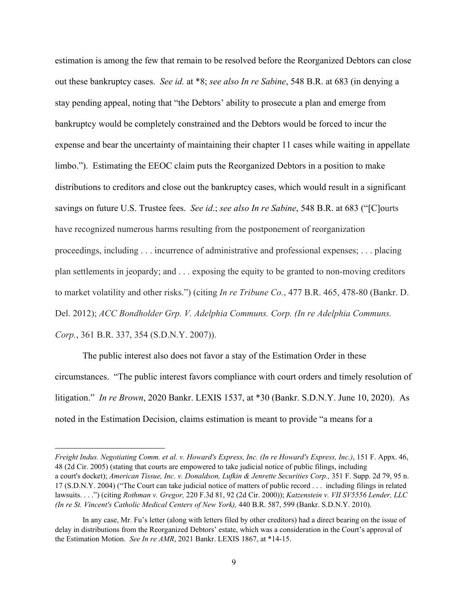estimation is among the few that remain to be resolved before the Reorganized Debtors can close out these bankruptcy cases. *See id.* at \*8; *see also In re Sabine*, 548 B.R. at 683 (in denying a stay pending appeal, noting that "the Debtors' ability to prosecute a plan and emerge from bankruptcy would be completely constrained and the Debtors would be forced to incur the expense and bear the uncertainty of maintaining their chapter 11 cases while waiting in appellate limbo."). Estimating the EEOC claim puts the Reorganized Debtors in a position to make distributions to creditors and close out the bankruptcy cases, which would result in a significant savings on future U.S. Trustee fees. *See id*.; *see also In re Sabine*, 548 B.R. at 683 ("[C]ourts have recognized numerous harms resulting from the postponement of reorganization proceedings, including . . . incurrence of administrative and professional expenses; . . . placing plan settlements in jeopardy; and . . . exposing the equity to be granted to non-moving creditors to market volatility and other risks.") (citing *In re Tribune Co.*, 477 B.R. 465, 478-80 (Bankr. D. Del. 2012); *ACC Bondholder Grp. V. Adelphia Communs. Corp. (In re Adelphia Communs. Corp.*, 361 B.R. 337, 354 (S.D.N.Y. 2007)).

The public interest also does not favor a stay of the Estimation Order in these circumstances. "The public interest favors compliance with court orders and timely resolution of litigation." *In re Brown*, 2020 Bankr. LEXIS 1537, at \*30 (Bankr. S.D.N.Y. June 10, 2020). As noted in the Estimation Decision, claims estimation is meant to provide "a means for a

*Freight Indus. Negotiating Comm. et al. v. Howard's Express, Inc. (In re Howard's Express, Inc.)*, 151 F. Appx. 46, 48 (2d Cir. 2005) (stating that courts are empowered to take judicial notice of public filings, including a court's docket); *American Tissue, Inc. v. Donaldson, Lufkin & Jenrette Securities Corp.,* 351 F. Supp. 2d 79, 95 n. 17 (S.D.N.Y. 2004) ("The Court can take judicial notice of matters of public record . . . including filings in related lawsuits. . . .") (citing *Rothman v. Gregor,* 220 F.3d 81, 92 (2d Cir. 2000)); *Katzenstein v. VII SV5556 Lender, LLC (In re St. Vincent's Catholic Medical Centers of New York),* 440 B.R. 587, 599 (Bankr. S.D.N.Y. 2010).

In any case, Mr. Fu's letter (along with letters filed by other creditors) had a direct bearing on the issue of delay in distributions from the Reorganized Debtors' estate, which was a consideration in the Court's approval of the Estimation Motion. *See In re AMR*, 2021 Bankr. LEXIS 1867, at \*14-15.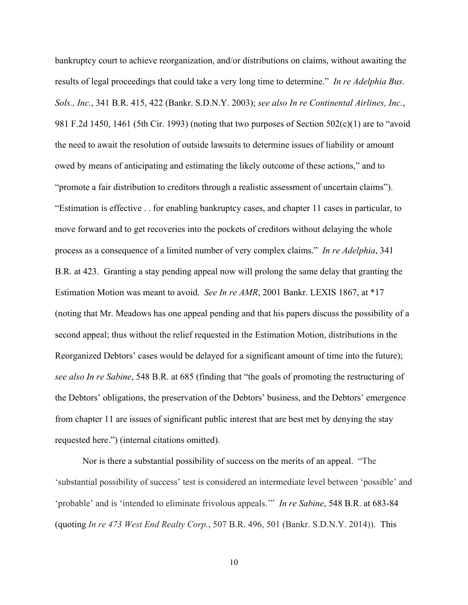bankruptcy court to achieve reorganization, and/or distributions on claims, without awaiting the results of legal proceedings that could take a very long time to determine." *In re Adelphia Bus. Sols., Inc.*, 341 B.R. 415, 422 (Bankr. S.D.N.Y. 2003); *see also In re Continental Airlines, Inc.*, 981 F.2d 1450, 1461 (5th Cir. 1993) (noting that two purposes of Section 502(c)(1) are to "avoid the need to await the resolution of outside lawsuits to determine issues of liability or amount owed by means of anticipating and estimating the likely outcome of these actions," and to "promote a fair distribution to creditors through a realistic assessment of uncertain claims"). "Estimation is effective . . for enabling bankruptcy cases, and chapter 11 cases in particular, to move forward and to get recoveries into the pockets of creditors without delaying the whole process as a consequence of a limited number of very complex claims." *In re Adelphia*, 341 B.R. at 423. Granting a stay pending appeal now will prolong the same delay that granting the Estimation Motion was meant to avoid. *See In re AMR*, 2001 Bankr. LEXIS 1867, at \*17 (noting that Mr. Meadows has one appeal pending and that his papers discuss the possibility of a second appeal; thus without the relief requested in the Estimation Motion, distributions in the Reorganized Debtors' cases would be delayed for a significant amount of time into the future); *see also In re Sabine*, 548 B.R. at 685 (finding that "the goals of promoting the restructuring of the Debtors' obligations, the preservation of the Debtors' business, and the Debtors' emergence from chapter 11 are issues of significant public interest that are best met by denying the stay requested here.") (internal citations omitted).

Nor is there a substantial possibility of success on the merits of an appeal. "The 'substantial possibility of success' test is considered an intermediate level between 'possible' and 'probable' and is 'intended to eliminate frivolous appeals.'" *In re Sabine*, 548 B.R. at 683-84 (quoting *In re 473 West End Realty Corp.*, 507 B.R. 496, 501 (Bankr. S.D.N.Y. 2014)). This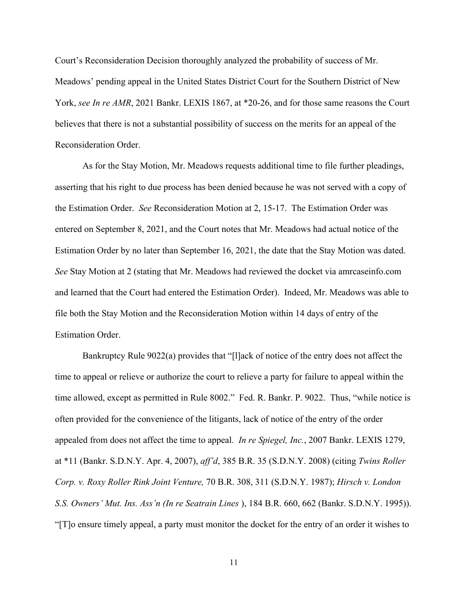Court's Reconsideration Decision thoroughly analyzed the probability of success of Mr. Meadows' pending appeal in the United States District Court for the Southern District of New York, *see In re AMR*, 2021 Bankr. LEXIS 1867, at \*20-26, and for those same reasons the Court believes that there is not a substantial possibility of success on the merits for an appeal of the Reconsideration Order.

As for the Stay Motion, Mr. Meadows requests additional time to file further pleadings, asserting that his right to due process has been denied because he was not served with a copy of the Estimation Order. *See* Reconsideration Motion at 2, 15-17. The Estimation Order was entered on September 8, 2021, and the Court notes that Mr. Meadows had actual notice of the Estimation Order by no later than September 16, 2021, the date that the Stay Motion was dated. *See* Stay Motion at 2 (stating that Mr. Meadows had reviewed the docket via amrcaseinfo.com and learned that the Court had entered the Estimation Order). Indeed, Mr. Meadows was able to file both the Stay Motion and the Reconsideration Motion within 14 days of entry of the Estimation Order.

Bankruptcy Rule 9022(a) provides that "[l]ack of notice of the entry does not affect the time to appeal or relieve or authorize the court to relieve a party for failure to appeal within the time allowed, except as permitted in Rule 8002." Fed. R. Bankr. P. 9022. Thus, "while notice is often provided for the convenience of the litigants, lack of notice of the entry of the order appealed from does not affect the time to appeal. *In re Spiegel, Inc.*, 2007 Bankr. LEXIS 1279, at \*11 (Bankr. S.D.N.Y. Apr. 4, 2007), *aff'd*, 385 B.R. 35 (S.D.N.Y. 2008) (citing *Twins Roller Corp. v. Roxy Roller Rink Joint Venture,* 70 B.R. 308, 311 (S.D.N.Y. 1987); *Hirsch v. London S.S. Owners' Mut. Ins. Ass'n (In re Seatrain Lines* ), 184 B.R. 660, 662 (Bankr. S.D.N.Y. 1995)). "[T]o ensure timely appeal, a party must monitor the docket for the entry of an order it wishes to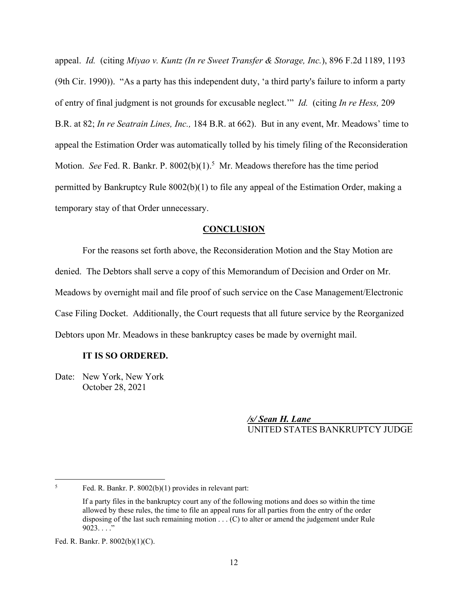appeal. *Id.* (citing *Miyao v. Kuntz (In re Sweet Transfer & Storage, Inc.*), 896 F.2d 1189, 1193 (9th Cir. 1990)). "As a party has this independent duty, 'a third party's failure to inform a party of entry of final judgment is not grounds for excusable neglect.'" *Id.* (citing *In re Hess,* 209 B.R. at 82; *In re Seatrain Lines, Inc.,* 184 B.R. at 662). But in any event, Mr. Meadows' time to appeal the Estimation Order was automatically tolled by his timely filing of the Reconsideration Motion. See Fed. R. Bankr. P. 8002(b)(1).<sup>5</sup> Mr. Meadows therefore has the time period permitted by Bankruptcy Rule 8002(b)(1) to file any appeal of the Estimation Order, making a temporary stay of that Order unnecessary.

## **CONCLUSION**

For the reasons set forth above, the Reconsideration Motion and the Stay Motion are denied. The Debtors shall serve a copy of this Memorandum of Decision and Order on Mr. Meadows by overnight mail and file proof of such service on the Case Management/Electronic Case Filing Docket. Additionally, the Court requests that all future service by the Reorganized Debtors upon Mr. Meadows in these bankruptcy cases be made by overnight mail.

## **IT IS SO ORDERED.**

Date: New York, New York October 28, 2021

> */s/ Sean H. Lane*  UNITED STATES BANKRUPTCY JUDGE

<sup>5</sup>

Fed. R. Bankr. P. 8002(b)(1) provides in relevant part:

If a party files in the bankruptcy court any of the following motions and does so within the time allowed by these rules, the time to file an appeal runs for all parties from the entry of the order disposing of the last such remaining motion . . . (C) to alter or amend the judgement under Rule  $9023...$  ."

Fed. R. Bankr. P. 8002(b)(1)(C).